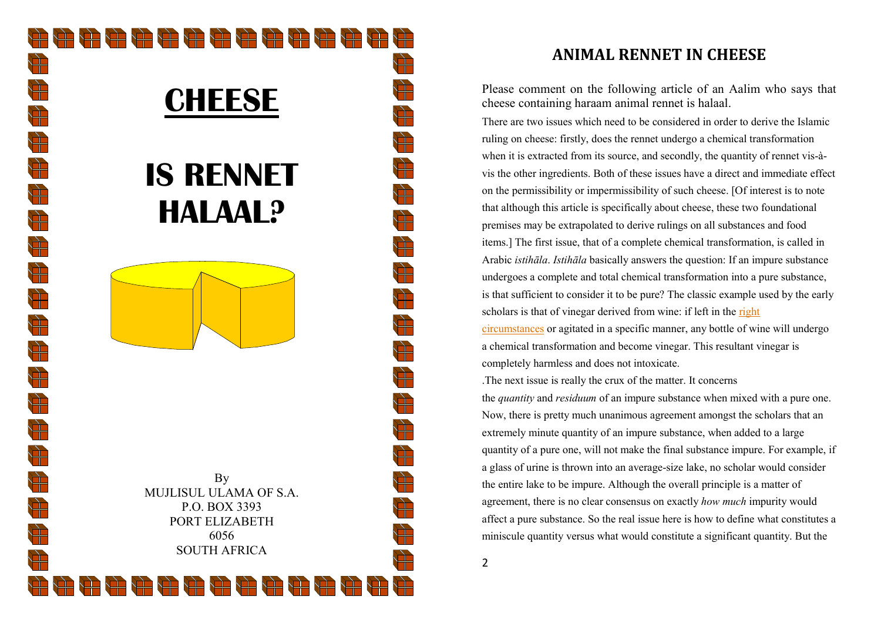

# **ANIMAL RENNET IN CHEESE**

Please comment on the following article of an Aalim who says that cheese containing haraam animal rennet is halaal.

There are two issues which need to be considered in order to derive the Islamic ruling on cheese: firstly, does the rennet undergo a chemical transformation when it is extracted from its source, and secondly, the quantity of rennet vis-àvis the other ingredients. Both of these issues have a direct and immediate effect on the permissibility or impermissibility of such cheese. [Of interest is to note that although this article is specifically about cheese, these two foundational premises may be extrapolated to derive rulings on all substances and food items.] The first issue, that of a complete chemical transformation, is called in Arabic istihāla. Istihāla basically answers the question: If an impure substance undergoes a complete and total chemical transformation into a pure substance, is that sufficient to consider it to be pure? The classic example used by the early scholars is that of vinegar derived from wine: if left in the right

circumstances or agitated in a specific manner, any bottle of wine will undergo a chemical transformation and become vinegar. This resultant vinegar is completely harmless and does not intoxicate.

.The next issue is really the crux of the matter. It concerns

the *quantity* and *residuum* of an impure substance when mixed with a pure one. Now, there is pretty much unanimous agreement amongst the scholars that an extremely minute quantity of an impure substance, when added to a large quantity of a pure one, will not make the final substance impure. For example, if a glass of urine is thrown into an average-size lake, no scholar would consider the entire lake to be impure. Although the overall principle is a matter of agreement, there is no clear consensus on exactly how much impurity would affect a pure substance. So the real issue here is how to define what constitutes a miniscule quantity versus what would constitute a significant quantity. But the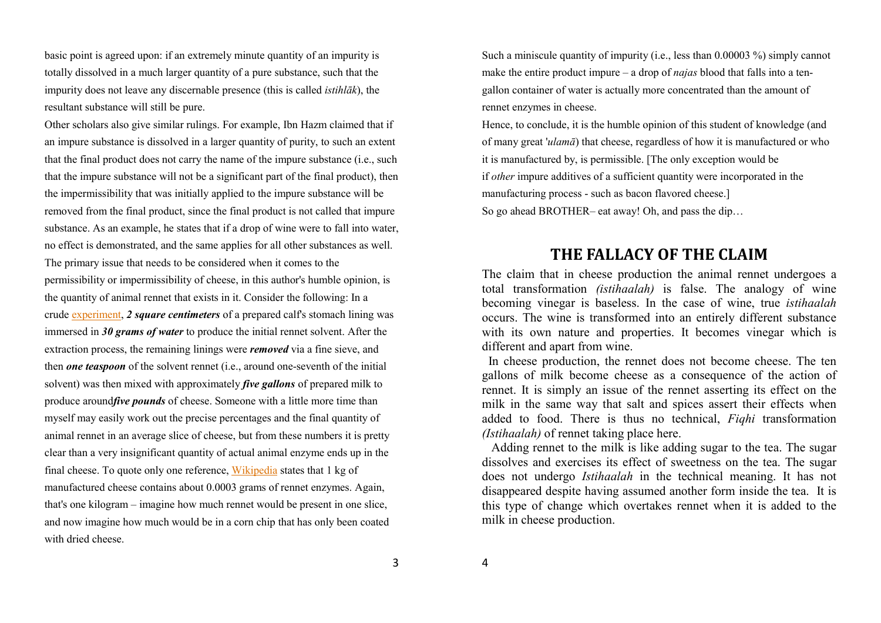basic point is agreed upon: if an extremely minute quantity of an impurity is totally dissolved in a much larger quantity of a pure substance, such that the impurity does not leave any discernable presence (this is called istihlāk), the resultant substance will still be pure.

Other scholars also give similar rulings. For example, Ibn Hazm claimed that if an impure substance is dissolved in a larger quantity of purity, to such an extent that the final product does not carry the name of the impure substance (i.e., such that the impure substance will not be a significant part of the final product), then the impermissibility that was initially applied to the impure substance will be removed from the final product, since the final product is not called that impure substance. As an example, he states that if a drop of wine were to fall into water, no effect is demonstrated, and the same applies for all other substances as well. The primary issue that needs to be considered when it comes to the permissibility or impermissibility of cheese, in this author's humble opinion, is the quantity of animal rennet that exists in it. Consider the following: In a crude experiment, 2 square centimeters of a prepared calf's stomach lining was immersed in 30 grams of water to produce the initial rennet solvent. After the extraction process, the remaining linings were *removed* via a fine sieve, and then *one teaspoon* of the solvent rennet (i.e., around one-seventh of the initial solvent) was then mixed with approximately *five gallons* of prepared milk to produce around *five pounds* of cheese. Someone with a little more time than myself may easily work out the precise percentages and the final quantity of animal rennet in an average slice of cheese, but from these numbers it is pretty clear than a very insignificant quantity of actual animal enzyme ends up in the final cheese. To quote only one reference, Wikipedia states that 1 kg of manufactured cheese contains about 0.0003 grams of rennet enzymes. Again, that's one kilogram – imagine how much rennet would be present in one slice, and now imagine how much would be in a corn chip that has only been coated with dried cheese.

Such a miniscule quantity of impurity (i.e., less than 0.00003 %) simply cannot make the entire product impure – a drop of *najas* blood that falls into a tengallon container of water is actually more concentrated than the amount of rennet enzymes in cheese.

Hence, to conclude, it is the humble opinion of this student of knowledge (and of many great 'ulamā) that cheese, regardless of how it is manufactured or who it is manufactured by, is permissible. [The only exception would be if other impure additives of a sufficient quantity were incorporated in the manufacturing process - such as bacon flavored cheese.] So go ahead BROTHER– eat away! Oh, and pass the dip…

# THE FALLACY OF THE CLAIM

The claim that in cheese production the animal rennet undergoes a total transformation (istihaalah) is false. The analogy of wine becoming vinegar is baseless. In the case of wine, true *istihaalah*  occurs. The wine is transformed into an entirely different substance with its own nature and properties. It becomes vinegar which is different and apart from wine.

 In cheese production, the rennet does not become cheese. The ten gallons of milk become cheese as a consequence of the action of rennet. It is simply an issue of the rennet asserting its effect on the milk in the same way that salt and spices assert their effects when added to food. There is thus no technical, Fighi transformation (Istihaalah) of rennet taking place here.

 Adding rennet to the milk is like adding sugar to the tea. The sugar dissolves and exercises its effect of sweetness on the tea. The sugar does not undergo *Istihaalah* in the technical meaning. It has not disappeared despite having assumed another form inside the tea. It is this type of change which overtakes rennet when it is added to the milk in cheese production.

3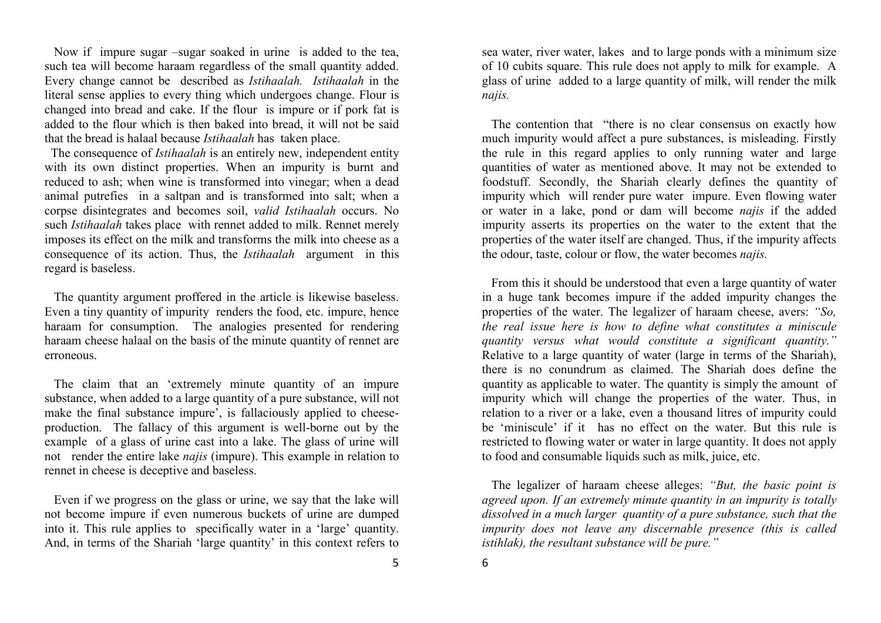Now if impure sugar –sugar soaked in urine is added to the tea, such tea will become haraam regardless of the small quantity added. Every change cannot be described as Istihaalah. Istihaalah in the literal sense applies to every thing which undergoes change. Flour is changed into bread and cake. If the flour is impure or if pork fat is added to the flour which is then baked into bread, it will not be said that the bread is halaal because Istihaalah has taken place.

The consequence of *Istihaalah* is an entirely new, independent entity with its own distinct properties. When an impurity is burnt and reduced to ash; when wine is transformed into vinegar; when a dead animal putrefies in a saltpan and is transformed into salt; when a corpse disintegrates and becomes soil, valid Istihaalah occurs. No such Istihaalah takes place with rennet added to milk. Rennet merely imposes its effect on the milk and transforms the milk into cheese as a consequence of its action. Thus, the Istihaalah argument in this regard is baseless.

 The quantity argument proffered in the article is likewise baseless. Even a tiny quantity of impurity renders the food, etc. impure, hence haraam for consumption. The analogies presented for rendering haraam cheese halaal on the basis of the minute quantity of rennet are erroneous.

 The claim that an 'extremely minute quantity of an impure substance, when added to a large quantity of a pure substance, will not make the final substance impure', is fallaciously applied to cheeseproduction. The fallacy of this argument is well-borne out by the example of a glass of urine cast into a lake. The glass of urine will not render the entire lake *najis* (impure). This example in relation to rennet in cheese is deceptive and baseless.

 Even if we progress on the glass or urine, we say that the lake will not become impure if even numerous buckets of urine are dumped into it. This rule applies to specifically water in a 'large' quantity. And, in terms of the Shariah 'large quantity' in this context refers to sea water, river water, lakes and to large ponds with a minimum size of 10 cubits square. This rule does not apply to milk for example. A glass of urine added to a large quantity of milk, will render the milk najis.

 The contention that "there is no clear consensus on exactly how much impurity would affect a pure substances, is misleading. Firstly the rule in this regard applies to only running water and large quantities of water as mentioned above. It may not be extended to foodstuff. Secondly, the Shariah clearly defines the quantity of impurity which will render pure water impure. Even flowing water or water in a lake, pond or dam will become *najis* if the added impurity asserts its properties on the water to the extent that the properties of the water itself are changed. Thus, if the impurity affects the odour, taste, colour or flow, the water becomes *najis*.

 From this it should be understood that even a large quantity of water in a huge tank becomes impure if the added impurity changes the properties of the water. The legalizer of haraam cheese, avers: "So, the real issue here is how to define what constitutes a miniscule quantity versus what would constitute a significant quantity." Relative to a large quantity of water (large in terms of the Shariah), there is no conundrum as claimed. The Shariah does define the quantity as applicable to water. The quantity is simply the amount of impurity which will change the properties of the water. Thus, in relation to a river or a lake, even a thousand litres of impurity could be 'miniscule' if it has no effect on the water. But this rule is restricted to flowing water or water in large quantity. It does not apply to food and consumable liquids such as milk, juice, etc.

 The legalizer of haraam cheese alleges: "But, the basic point is agreed upon. If an extremely minute quantity in an impurity is totally dissolved in a much larger quantity of a pure substance, such that the impurity does not leave any discernable presence (this is called istihlak), the resultant substance will be pure."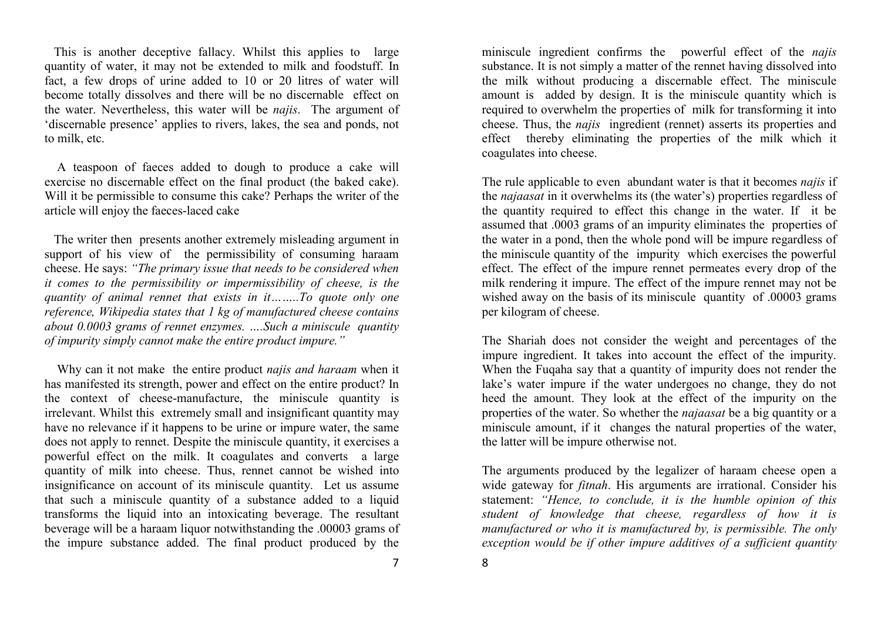This is another deceptive fallacy. Whilst this applies to large quantity of water, it may not be extended to milk and foodstuff. In fact, a few drops of urine added to 10 or 20 litres of water will become totally dissolves and there will be no discernable effect on the water. Nevertheless, this water will be *najis*. The argument of 'discernable presence' applies to rivers, lakes, the sea and ponds, not to milk, etc.

 A teaspoon of faeces added to dough to produce a cake will exercise no discernable effect on the final product (the baked cake). Will it be permissible to consume this cake? Perhaps the writer of the article will enjoy the faeces-laced cake

 The writer then presents another extremely misleading argument in support of his view of the permissibility of consuming haraam cheese. He says: "The primary issue that needs to be considered when it comes to the permissibility or impermissibility of cheese, is the quantity of animal rennet that exists in it……..To quote only one reference, Wikipedia states that 1 kg of manufactured cheese contains about 0.0003 grams of rennet enzymes. ….Such a miniscule quantity of impurity simply cannot make the entire product impure."

Why can it not make the entire product *najis and haraam* when it has manifested its strength, power and effect on the entire product? In the context of cheese-manufacture, the miniscule quantity is irrelevant. Whilst this extremely small and insignificant quantity may have no relevance if it happens to be urine or impure water, the same does not apply to rennet. Despite the miniscule quantity, it exercises a powerful effect on the milk. It coagulates and converts a large quantity of milk into cheese. Thus, rennet cannot be wished into insignificance on account of its miniscule quantity. Let us assume that such a miniscule quantity of a substance added to a liquid transforms the liquid into an intoxicating beverage. The resultant beverage will be a haraam liquor notwithstanding the .00003 grams of the impure substance added. The final product produced by the miniscule ingredient confirms the powerful effect of the *najis*  substance. It is not simply a matter of the rennet having dissolved into the milk without producing a discernable effect. The miniscule amount is added by design. It is the miniscule quantity which is required to overwhelm the properties of milk for transforming it into cheese. Thus, the *najis* ingredient (rennet) asserts its properties and effect thereby eliminating the properties of the milk which it coagulates into cheese.

The rule applicable to even abundant water is that it becomes *najis* if the najaasat in it overwhelms its (the water's) properties regardless of the quantity required to effect this change in the water. If it be assumed that .0003 grams of an impurity eliminates the properties of the water in a pond, then the whole pond will be impure regardless of the miniscule quantity of the impurity which exercises the powerful effect. The effect of the impure rennet permeates every drop of the milk rendering it impure. The effect of the impure rennet may not be wished away on the basis of its miniscule quantity of .00003 grams per kilogram of cheese.

The Shariah does not consider the weight and percentages of the impure ingredient. It takes into account the effect of the impurity. When the Fuqaha say that a quantity of impurity does not render the lake's water impure if the water undergoes no change, they do not heed the amount. They look at the effect of the impurity on the properties of the water. So whether the *najaasat* be a big quantity or a miniscule amount, if it changes the natural properties of the water, the latter will be impure otherwise not.

The arguments produced by the legalizer of haraam cheese open a wide gateway for *fitnah*. His arguments are irrational. Consider his statement: "Hence, to conclude, it is the humble opinion of this student of knowledge that cheese, regardless of how it is manufactured or who it is manufactured by, is permissible. The only exception would be if other impure additives of a sufficient quantity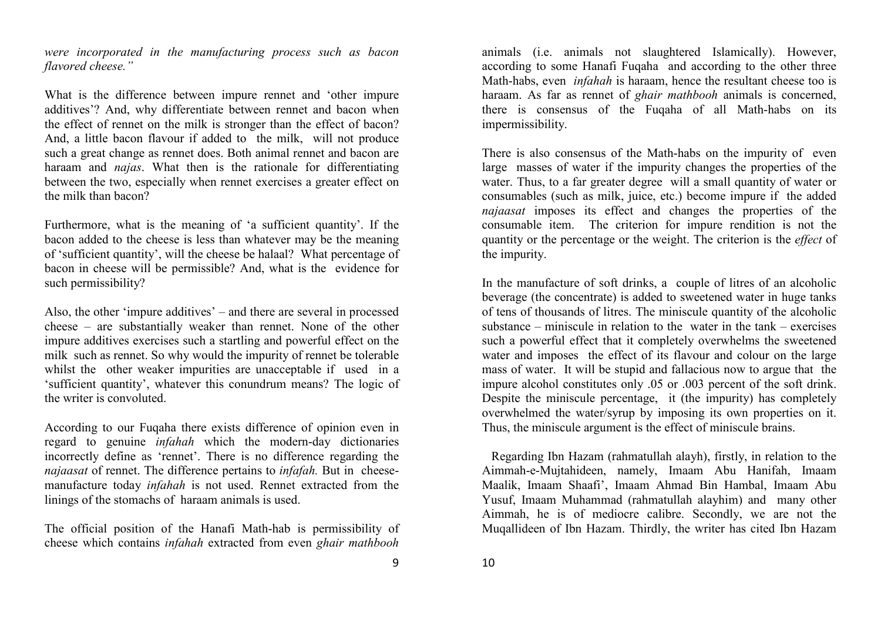were incorporated in the manufacturing process such as bacon flavored cheese."

What is the difference between impure rennet and 'other impure additives'? And, why differentiate between rennet and bacon when the effect of rennet on the milk is stronger than the effect of bacon? And, a little bacon flavour if added to the milk, will not produce such a great change as rennet does. Both animal rennet and bacon are haraam and *najas*. What then is the rationale for differentiating between the two, especially when rennet exercises a greater effect on the milk than bacon?

Furthermore, what is the meaning of 'a sufficient quantity'. If the bacon added to the cheese is less than whatever may be the meaning of 'sufficient quantity', will the cheese be halaal? What percentage of bacon in cheese will be permissible? And, what is the evidence for such permissibility?

Also, the other 'impure additives' – and there are several in processed cheese – are substantially weaker than rennet. None of the other impure additives exercises such a startling and powerful effect on the milk such as rennet. So why would the impurity of rennet be tolerable whilst the other weaker impurities are unacceptable if used in a 'sufficient quantity', whatever this conundrum means? The logic of the writer is convoluted.

According to our Fuqaha there exists difference of opinion even in regard to genuine *infahah* which the modern-day dictionaries incorrectly define as 'rennet'. There is no difference regarding the najaasat of rennet. The difference pertains to *infafah*. But in cheesemanufacture today infahah is not used. Rennet extracted from the linings of the stomachs of haraam animals is used.

The official position of the Hanafi Math-hab is permissibility of cheese which contains infahah extracted from even ghair mathbooh animals (i.e. animals not slaughtered Islamically). However, according to some Hanafi Fuqaha and according to the other three Math-habs, even *infahah* is haraam, hence the resultant cheese too is haraam. As far as rennet of ghair mathbooh animals is concerned, there is consensus of the Fuqaha of all Math-habs on its impermissibility.

There is also consensus of the Math-habs on the impurity of even large masses of water if the impurity changes the properties of the water. Thus, to a far greater degree will a small quantity of water or consumables (such as milk, juice, etc.) become impure if the added najaasat imposes its effect and changes the properties of the consumable item. The criterion for impure rendition is not the quantity or the percentage or the weight. The criterion is the *effect* of the impurity.

In the manufacture of soft drinks, a couple of litres of an alcoholic beverage (the concentrate) is added to sweetened water in huge tanks of tens of thousands of litres. The miniscule quantity of the alcoholic substance – miniscule in relation to the water in the tank – exercises such a powerful effect that it completely overwhelms the sweetened water and imposes the effect of its flavour and colour on the large mass of water. It will be stupid and fallacious now to argue that the impure alcohol constitutes only .05 or .003 percent of the soft drink. Despite the miniscule percentage, it (the impurity) has completely overwhelmed the water/syrup by imposing its own properties on it. Thus, the miniscule argument is the effect of miniscule brains.

 Regarding Ibn Hazam (rahmatullah alayh), firstly, in relation to the Aimmah-e-Mujtahideen, namely, Imaam Abu Hanifah, Imaam Maalik, Imaam Shaafi', Imaam Ahmad Bin Hambal, Imaam Abu Yusuf, Imaam Muhammad (rahmatullah alayhim) and many other Aimmah, he is of mediocre calibre. Secondly, we are not the Muqallideen of Ibn Hazam. Thirdly, the writer has cited Ibn Hazam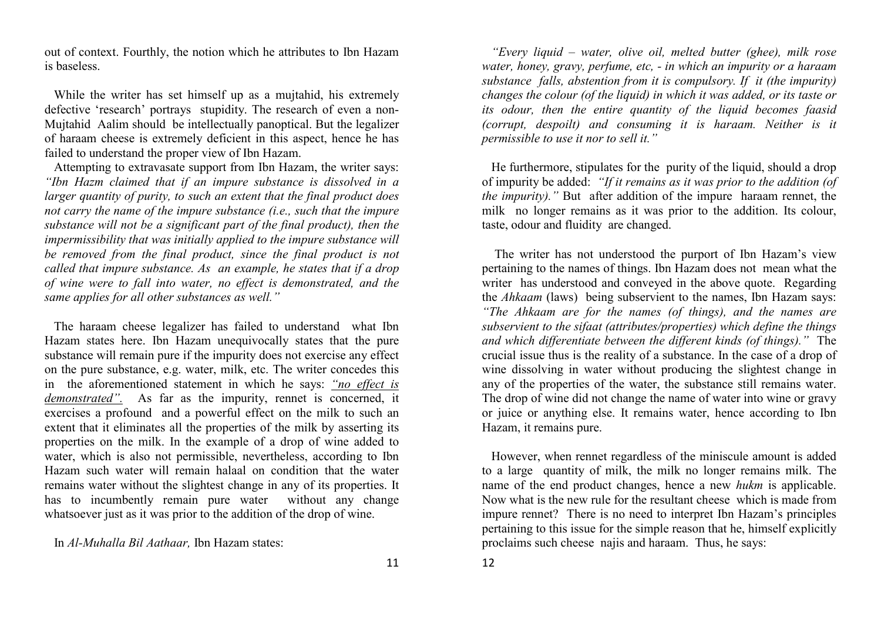out of context. Fourthly, the notion which he attributes to Ibn Hazam is baseless.

 While the writer has set himself up as a mujtahid, his extremely defective 'research' portrays stupidity. The research of even a non-Mujtahid Aalim should be intellectually panoptical. But the legalizer of haraam cheese is extremely deficient in this aspect, hence he has failed to understand the proper view of Ibn Hazam.

 Attempting to extravasate support from Ibn Hazam, the writer says: "Ibn Hazm claimed that if an impure substance is dissolved in a larger quantity of purity, to such an extent that the final product does not carry the name of the impure substance (i.e., such that the impure substance will not be a significant part of the final product), then the impermissibility that was initially applied to the impure substance will be removed from the final product, since the final product is not called that impure substance. As an example, he states that if a drop of wine were to fall into water, no effect is demonstrated, and the same applies for all other substances as well."

 The haraam cheese legalizer has failed to understand what Ibn Hazam states here. Ibn Hazam unequivocally states that the pure substance will remain pure if the impurity does not exercise any effect on the pure substance, e.g. water, milk, etc. The writer concedes this in the aforementioned statement in which he says: "no effect is demonstrated". As far as the impurity, rennet is concerned, it exercises a profound and a powerful effect on the milk to such an extent that it eliminates all the properties of the milk by asserting its properties on the milk. In the example of a drop of wine added to water, which is also not permissible, nevertheless, according to Ibn Hazam such water will remain halaal on condition that the water remains water without the slightest change in any of its properties. It has to incumbently remain pure water without any change whatsoever just as it was prior to the addition of the drop of wine.

In Al-Muhalla Bil Aathaar, Ibn Hazam states:

"Every liquid – water, olive oil, melted butter (ghee), milk rose water, honey, gravy, perfume, etc, - in which an impurity or a haraam substance falls, abstention from it is compulsory. If it (the impurity) changes the colour (of the liquid) in which it was added, or its taste or its odour, then the entire quantity of the liquid becomes faasid (corrupt, despoilt) and consuming it is haraam. Neither is it permissible to use it nor to sell it."

 He furthermore, stipulates for the purity of the liquid, should a drop of impurity be added: "If it remains as it was prior to the addition (of the impurity)." But after addition of the impure haraam rennet, the milk no longer remains as it was prior to the addition. Its colour, taste, odour and fluidity are changed.

 The writer has not understood the purport of Ibn Hazam's view pertaining to the names of things. Ibn Hazam does not mean what the writer has understood and conveyed in the above quote. Regarding the Ahkaam (laws) being subservient to the names, Ibn Hazam says: "The Ahkaam are for the names (of things), and the names are subservient to the sifaat (attributes/properties) which define the things and which differentiate between the different kinds (of things)." The crucial issue thus is the reality of a substance. In the case of a drop of wine dissolving in water without producing the slightest change in any of the properties of the water, the substance still remains water. The drop of wine did not change the name of water into wine or gravy or juice or anything else. It remains water, hence according to Ibn Hazam, it remains pure.

 However, when rennet regardless of the miniscule amount is added to a large quantity of milk, the milk no longer remains milk. The name of the end product changes, hence a new hukm is applicable. Now what is the new rule for the resultant cheese which is made from impure rennet? There is no need to interpret Ibn Hazam's principles pertaining to this issue for the simple reason that he, himself explicitly proclaims such cheese najis and haraam. Thus, he says: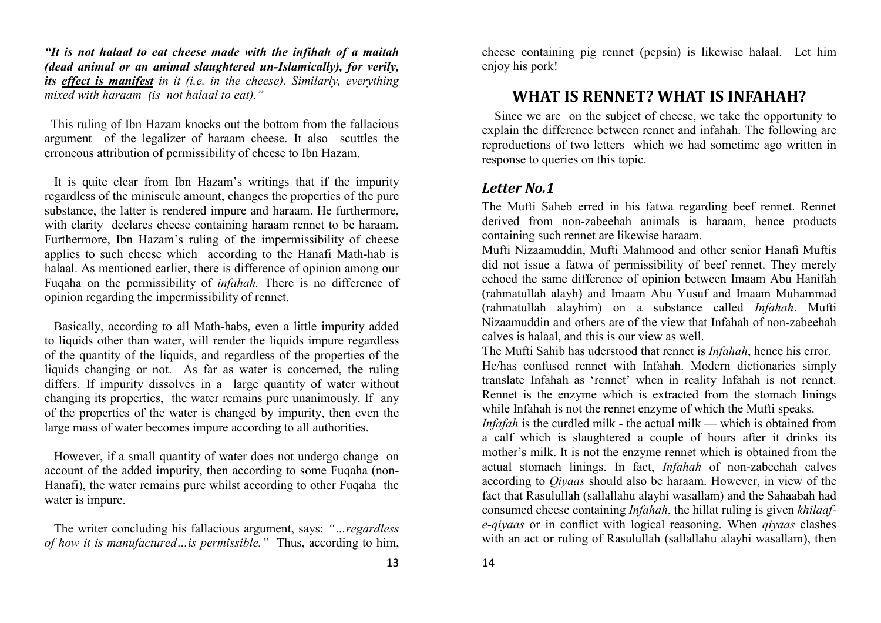"It is not halaal to eat cheese made with the infihah of a maitah (dead animal or an animal slaughtered un-Islamically), for verily, its effect is manifest in it (i.e. in the cheese). Similarly, everything mixed with haraam (is not halaal to eat)."

 This ruling of Ibn Hazam knocks out the bottom from the fallacious argument of the legalizer of haraam cheese. It also scuttles the erroneous attribution of permissibility of cheese to Ibn Hazam.

 It is quite clear from Ibn Hazam's writings that if the impurity regardless of the miniscule amount, changes the properties of the pure substance, the latter is rendered impure and haraam. He furthermore, with clarity declares cheese containing haraam rennet to be haraam. Furthermore, Ibn Hazam's ruling of the impermissibility of cheese applies to such cheese which according to the Hanafi Math-hab is halaal. As mentioned earlier, there is difference of opinion among our Fuqaha on the permissibility of *infahah*. There is no difference of opinion regarding the impermissibility of rennet.

 Basically, according to all Math-habs, even a little impurity added to liquids other than water, will render the liquids impure regardless of the quantity of the liquids, and regardless of the properties of the liquids changing or not. As far as water is concerned, the ruling differs. If impurity dissolves in a large quantity of water without changing its properties, the water remains pure unanimously. If any of the properties of the water is changed by impurity, then even the large mass of water becomes impure according to all authorities.

 However, if a small quantity of water does not undergo change on account of the added impurity, then according to some Fuqaha (non-Hanafi), the water remains pure whilst according to other Fuqaha the water is impure.

 The writer concluding his fallacious argument, says: "…regardless of how it is manufactured...is permissible." Thus, according to him, cheese containing pig rennet (pepsin) is likewise halaal. Let him enjoy his pork!

# WHAT IS RENNET? WHAT IS INFAHAH?

 Since we are on the subject of cheese, we take the opportunity to explain the difference between rennet and infahah. The following are reproductions of two letters which we had sometime ago written in response to queries on this topic.

#### Letter No.1

The Mufti Saheb erred in his fatwa regarding beef rennet. Rennet derived from non-zabeehah animals is haraam, hence products containing such rennet are likewise haraam.

 Mufti Nizaamuddin, Mufti Mahmood and other senior Hanafi Muftis did not issue a fatwa of permissibility of beef rennet. They merely echoed the same difference of opinion between Imaam Abu Hanifah (rahmatullah alayh) and Imaam Abu Yusuf and Imaam Muhammad (rahmatullah alayhim) on a substance called Infahah. Mufti Nizaamuddin and others are of the view that Infahah of non-zabeehah calves is halaal, and this is our view as well.

The Mufti Sahib has uderstood that rennet is *Infahah*, hence his error. He/has confused rennet with Infahah. Modern dictionaries simply translate Infahah as 'rennet' when in reality Infahah is not rennet. Rennet is the enzyme which is extracted from the stomach linings while Infahah is not the rennet enzyme of which the Mufti speaks.

 Infafah is the curdled milk - the actual milk — which is obtained from a calf which is slaughtered a couple of hours after it drinks its mother's milk. It is not the enzyme rennet which is obtained from the actual stomach linings. In fact, Infahah of non-zabeehah calves according to *Qiyaas* should also be haraam. However, in view of the fact that Rasulullah (sallallahu alayhi wasallam) and the Sahaabah had consumed cheese containing *Infahah*, the hillat ruling is given khilaafe-qiyaas or in conflict with logical reasoning. When qiyaas clashes with an act or ruling of Rasulullah (sallallahu alayhi wasallam), then